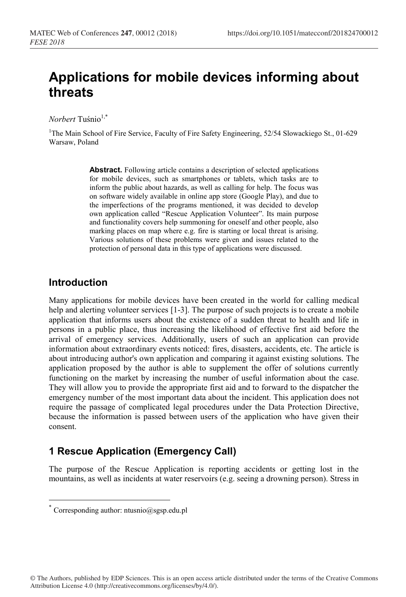# **Applications for mobile devices informing about threats**

*Norbert* Tuśnio1,\*

<sup>1</sup>The Main School of Fire Service, Faculty of Fire Safety Engineering, 52/54 Slowackiego St., 01-629 Warsaw, Poland

> **Abstract.** Following article contains a description of selected applications for mobile devices, such as smartphones or tablets, which tasks are to inform the public about hazards, as well as calling for help. The focus was on software widely available in online app store (Google Play), and due to the imperfections of the programs mentioned, it was decided to develop own application called "Rescue Application Volunteer". Its main purpose and functionality covers help summoning for oneself and other people, also marking places on map where e.g. fire is starting or local threat is arising. Various solutions of these problems were given and issues related to the protection of personal data in this type of applications were discussed.

### **Introduction**

Many applications for mobile devices have been created in the world for calling medical help and alerting volunteer services [1-3]. The purpose of such projects is to create a mobile application that informs users about the existence of a sudden threat to health and life in persons in a public place, thus increasing the likelihood of effective first aid before the arrival of emergency services. Additionally, users of such an application can provide information about extraordinary events noticed: fires, disasters, accidents, etc. The article is about introducing author's own application and comparing it against existing solutions. The application proposed by the author is able to supplement the offer of solutions currently functioning on the market by increasing the number of useful information about the case. They will allow you to provide the appropriate first aid and to forward to the dispatcher the emergency number of the most important data about the incident. This application does not require the passage of complicated legal procedures under the Data Protection Directive, because the information is passed between users of the application who have given their consent.

# **1 Rescue Application (Emergency Call)**

The purpose of the Rescue Application is reporting accidents or getting lost in the mountains, as well as incidents at water reservoirs (e.g. seeing a drowning person). Stress in

 $*$  Corresponding author: ntusnio@sgsp.edu.pl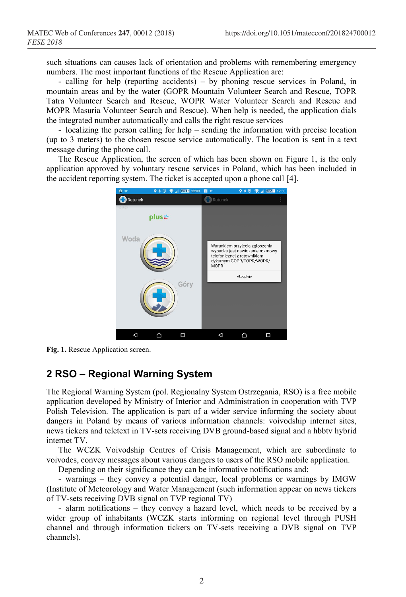such situations can causes lack of orientation and problems with remembering emergency numbers. The most important functions of the Rescue Application are:

- calling for help (reporting accidents) – by phoning rescue services in Poland, in mountain areas and by the water (GOPR Mountain Volunteer Search and Rescue, TOPR Tatra Volunteer Search and Rescue, WOPR Water Volunteer Search and Rescue and MOPR Masuria Volunteer Search and Rescue). When help is needed, the application dials the integrated number automatically and calls the right rescue services

- localizing the person calling for help – sending the information with precise location (up to 3 meters) to the chosen rescue service automatically. The location is sent in a text message during the phone call.

The Rescue Application, the screen of which has been shown on Figure 1, is the only application approved by voluntary rescue services in Poland, which has been included in the accident reporting system. The ticket is accepted upon a phone call [4].



**Fig. 1.** Rescue Application screen.

# **2 RSO – Regional Warning System**

The Regional Warning System (pol. Regionalny System Ostrzegania, RSO) is a free mobile application developed by Ministry of Interior and Administration in cooperation with TVP Polish Television. The application is part of a wider service informing the society about dangers in Poland by means of various information channels: voivodship internet sites, news tickers and teletext in TV-sets receiving DVB ground-based signal and a hbbtv hybrid internet TV.

The WCZK Voivodship Centres of Crisis Management, which are subordinate to voivodes, convey messages about various dangers to users of the RSO mobile application.

Depending on their significance they can be informative notifications and:

- warnings – they convey a potential danger, local problems or warnings by IMGW (Institute of Meteorology and Water Management (such information appear on news tickers of TV-sets receiving DVB signal on TVP regional TV)

- alarm notifications – they convey a hazard level, which needs to be received by a wider group of inhabitants (WCZK starts informing on regional level through PUSH channel and through information tickers on TV-sets receiving a DVB signal on TVP channels).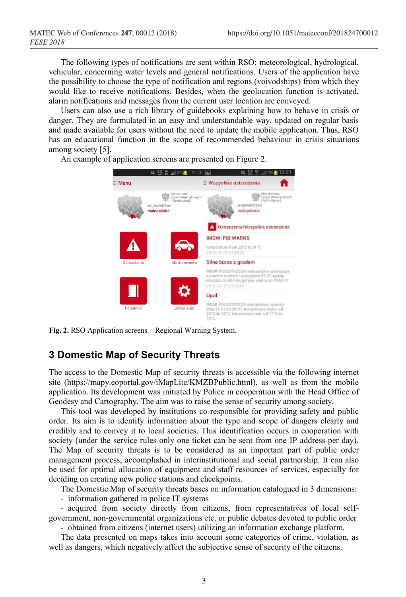The following types of notifications are sent within RSO: meteorological, hydrological, vehicular, concerning water levels and general notifications. Users of the application have the possibility to choose the type of notification and regions (voivodships) from which they would like to receive notifications. Besides, when the geolocation function is activated, alarm notifications and messages from the current user location are conveyed.

Users can also use a rich library of guidebooks explaining how to behave in crisis or danger. They are formulated in an easy and understandable way, updated on regular basis and made available for users without the need to update the mobile application. Thus, RSO has an educational function in the scope of recommended behaviour in crisis situations among society [5].

An example of application screens are presented on Figure 2.

 $\leq \text{ 2 } \frac{1}{2}$ 减荷 # 73 ■ 12:21  $\equiv$  Menu **E Wszystkie ostrzeżenia** A Ministerstwo<br>Spraw Wewnętrznych<br>1982 – LAdministracji **School Ministerstwo**<br>
Spraw Wewne województwo województwo małopolskie malopolskie A Ostrzeżenia/Wszystkie ostrzeżenia **IMGW-PIB WARNS** temperature from 28°C to 31°C 2016-07-27 07:15:00 Ostrzeżenia Silne burze z gradem IMGW-PIB OSTRZEGA małopolskie, silne burze z gradem w dzień i wieczonem 27.07, opady<br>deszczu do 60 mm, porywy wiatru do 70 km/h 2016-07-27 07:00:02 Upał IMGW-PIB OSTRZEGA małopolskie, upał od Poradniki Ustawienia dnia 27.07 do 28.07, temperatura maks, od 29°C do 32°C, temperatura min. od 17°C do

**Fig. 2.** RSO Application screens – Regional Warning System.

# **3 Domestic Map of Security Threats**

The access to the Domestic Map of security threats is accessible via the following internet site (https://mapy.eoportal.gov/iMapLite/KMZBPublic.html), as well as from the mobile application. Its development was initiated by Police in cooperation with the Head Office of Geodesy and Cartography. The aim was to raise the sense of security among society.

This tool was developed by institutions co-responsible for providing safety and public order. Its aim is to identify information about the type and scope of dangers clearly and credibly and to convey it to local societies. This identification occurs in cooperation with society (under the service rules only one ticket can be sent from one IP address per day). The Map of security threats is to be considered as an important part of public order management process, accomplished in interinstitutional and social partnership. It can also be used for optimal allocation of equipment and staff resources of services, especially for deciding on creating new police stations and checkpoints.

The Domestic Map of security threats bases on information catalogued in 3 dimensions:

- information gathered in police IT systems

- acquired from society directly from citizens, from representatives of local selfgovernment, non-governmental organizations etc. or public debates devoted to public order

- obtained from citizens (internet users) utilizing an information exchange platform.

The data presented on maps takes into account some categories of crime, violation, as well as dangers, which negatively affect the subjective sense of security of the citizens.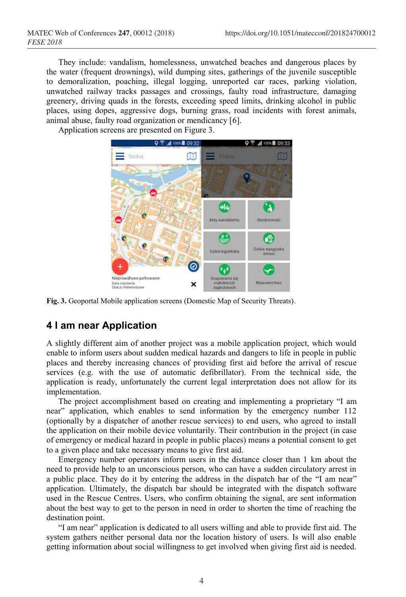They include: vandalism, homelessness, unwatched beaches and dangerous places by the water (frequent drownings), wild dumping sites, gatherings of the juvenile susceptible to demoralization, poaching, illegal logging, unreported car races, parking violation, unwatched railway tracks passages and crossings, faulty road infrastructure, damaging greenery, driving quads in the forests, exceeding speed limits, drinking alcohol in public places, using dopes, aggressive dogs, burning grass, road incidents with forest animals, animal abuse, faulty road organization or mendicancy [6].

Application screens are presented on Figure 3.



**Fig. 3.** Geoportal Mobile application screens (Domestic Map of Security Threats).

# **4 I am near Application**

A slightly different aim of another project was a mobile application project, which would enable to inform users about sudden medical hazards and dangers to life in people in public places and thereby increasing chances of providing first aid before the arrival of rescue services (e.g. with the use of automatic defibrillator). From the technical side, the application is ready, unfortunately the current legal interpretation does not allow for its implementation.

The project accomplishment based on creating and implementing a proprietary "I am near" application, which enables to send information by the emergency number 112 (optionally by a dispatcher of another rescue services) to end users, who agreed to install the application on their mobile device voluntarily. Their contribution in the project (in case of emergency or medical hazard in people in public places) means a potential consent to get to a given place and take necessary means to give first aid.

Emergency number operators inform users in the distance closer than 1 km about the need to provide help to an unconscious person, who can have a sudden circulatory arrest in a public place. They do it by entering the address in the dispatch bar of the "I am near" application. Ultimately, the dispatch bar should be integrated with the dispatch software used in the Rescue Centres. Users, who confirm obtaining the signal, are sent information about the best way to get to the person in need in order to shorten the time of reaching the destination point.

"I am near" application is dedicated to all users willing and able to provide first aid. The system gathers neither personal data nor the location history of users. Is will also enable getting information about social willingness to get involved when giving first aid is needed.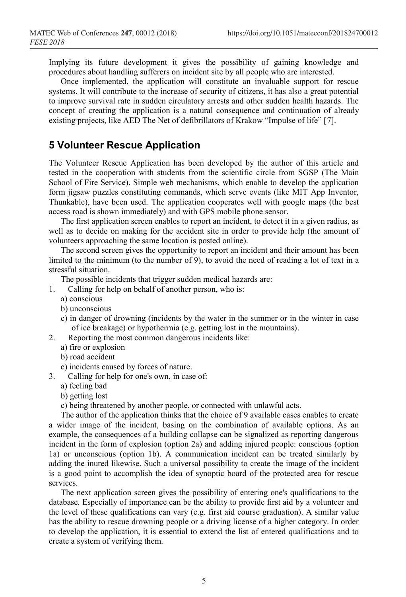Implying its future development it gives the possibility of gaining knowledge and procedures about handling sufferers on incident site by all people who are interested.

Once implemented, the application will constitute an invaluable support for rescue systems. It will contribute to the increase of security of citizens, it has also a great potential to improve survival rate in sudden circulatory arrests and other sudden health hazards. The concept of creating the application is a natural consequence and continuation of already existing projects, like AED The Net of defibrillators of Krakow "Impulse of life" [7].

#### **5 Volunteer Rescue Application**

The Volunteer Rescue Application has been developed by the author of this article and tested in the cooperation with students from the scientific circle from SGSP (The Main School of Fire Service). Simple web mechanisms, which enable to develop the application form jigsaw puzzles constituting commands, which serve events (like MIT App Inventor, Thunkable), have been used. The application cooperates well with google maps (the best access road is shown immediately) and with GPS mobile phone sensor.

The first application screen enables to report an incident, to detect it in a given radius, as well as to decide on making for the accident site in order to provide help (the amount of volunteers approaching the same location is posted online).

The second screen gives the opportunity to report an incident and their amount has been limited to the minimum (to the number of 9), to avoid the need of reading a lot of text in a stressful situation.

The possible incidents that trigger sudden medical hazards are:

- 1. Calling for help on behalf of another person, who is:
	- a) conscious
	- b) unconscious
	- c) in danger of drowning (incidents by the water in the summer or in the winter in case of ice breakage) or hypothermia (e.g. getting lost in the mountains).
- 2. Reporting the most common dangerous incidents like:
	- a) fire or explosion
	- b) road accident
	- c) incidents caused by forces of nature.
- 3. Calling for help for one's own, in case of:
	- a) feeling bad
	- b) getting lost

c) being threatened by another people, or connected with unlawful acts.

The author of the application thinks that the choice of 9 available cases enables to create a wider image of the incident, basing on the combination of available options. As an example, the consequences of a building collapse can be signalized as reporting dangerous incident in the form of explosion (option 2a) and adding injured people: conscious (option 1a) or unconscious (option 1b). A communication incident can be treated similarly by adding the inured likewise. Such a universal possibility to create the image of the incident is a good point to accomplish the idea of synoptic board of the protected area for rescue services.

The next application screen gives the possibility of entering one's qualifications to the database. Especially of importance can be the ability to provide first aid by a volunteer and the level of these qualifications can vary (e.g. first aid course graduation). A similar value has the ability to rescue drowning people or a driving license of a higher category. In order to develop the application, it is essential to extend the list of entered qualifications and to create a system of verifying them.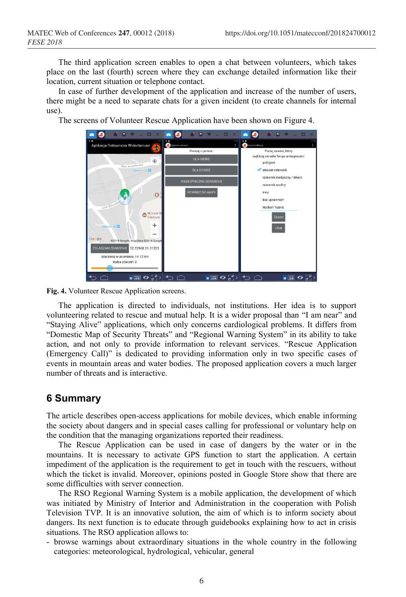The third application screen enables to open a chat between volunteers, which takes place on the last (fourth) screen where they can exchange detailed information like their location, current situation or telephone contact.

In case of further development of the application and increase of the number of users, there might be a need to separate chats for a given incident (to create channels for internal use).

The screens of Volunteer Rescue Application have been shown on Figure 4.



**Fig. 4.** Volunteer Rescue Application screens.

The application is directed to individuals, not institutions. Her idea is to support volunteering related to rescue and mutual help. It is a wider proposal than "I am near" and "Staying Alive" applications, which only concerns cardiological problems. It differs from "Domestic Map of Security Threats" and "Regional Warning System" in its ability to take action, and not only to provide information to relevant services. "Rescue Application (Emergency Call)" is dedicated to providing information only in two specific cases of events in mountain areas and water bodies. The proposed application covers a much larger number of threats and is interactive.

#### **6 Summary**

The article describes open-access applications for mobile devices, which enable informing the society about dangers and in special cases calling for professional or voluntary help on the condition that the managing organizations reported their readiness.

The Rescue Application can be used in case of dangers by the water or in the mountains. It is necessary to activate GPS function to start the application. A certain impediment of the application is the requirement to get in touch with the rescuers, without which the ticket is invalid. Moreover, opinions posted in Google Store show that there are some difficulties with server connection.

The RSO Regional Warning System is a mobile application, the development of which was initiated by Ministry of Interior and Administration in the cooperation with Polish Television TVP. It is an innovative solution, the aim of which is to inform society about dangers. Its next function is to educate through guidebooks explaining how to act in crisis situations. The RSO application allows to:

- browse warnings about extraordinary situations in the whole country in the following categories: meteorological, hydrological, vehicular, general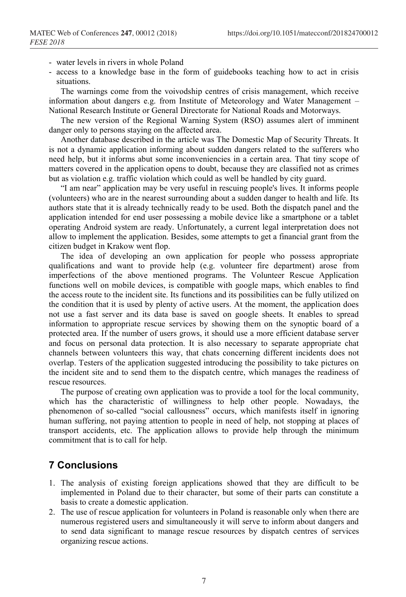- water levels in rivers in whole Poland
- access to a knowledge base in the form of guidebooks teaching how to act in crisis situations.

The warnings come from the voivodship centres of crisis management, which receive information about dangers e.g. from Institute of Meteorology and Water Management – National Research Institute or General Directorate for National Roads and Motorways.

The new version of the Regional Warning System (RSO) assumes alert of imminent danger only to persons staying on the affected area.

Another database described in the article was The Domestic Map of Security Threats. It is not a dynamic application informing about sudden dangers related to the sufferers who need help, but it informs abut some inconveniencies in a certain area. That tiny scope of matters covered in the application opens to doubt, because they are classified not as crimes but as violation e.g. traffic violation which could as well be handled by city guard.

"I am near" application may be very useful in rescuing people's lives. It informs people (volunteers) who are in the nearest surrounding about a sudden danger to health and life. Its authors state that it is already technically ready to be used. Both the dispatch panel and the application intended for end user possessing a mobile device like a smartphone or a tablet operating Android system are ready. Unfortunately, a current legal interpretation does not allow to implement the application. Besides, some attempts to get a financial grant from the citizen budget in Krakow went flop.

The idea of developing an own application for people who possess appropriate qualifications and want to provide help (e.g. volunteer fire department) arose from imperfections of the above mentioned programs. The Volunteer Rescue Application functions well on mobile devices, is compatible with google maps, which enables to find the access route to the incident site. Its functions and its possibilities can be fully utilized on the condition that it is used by plenty of active users. At the moment, the application does not use a fast server and its data base is saved on google sheets. It enables to spread information to appropriate rescue services by showing them on the synoptic board of a protected area. If the number of users grows, it should use a more efficient database server and focus on personal data protection. It is also necessary to separate appropriate chat channels between volunteers this way, that chats concerning different incidents does not overlap. Testers of the application suggested introducing the possibility to take pictures on the incident site and to send them to the dispatch centre, which manages the readiness of rescue resources.

The purpose of creating own application was to provide a tool for the local community, which has the characteristic of willingness to help other people. Nowadays, the phenomenon of so-called "social callousness" occurs, which manifests itself in ignoring human suffering, not paying attention to people in need of help, not stopping at places of transport accidents, etc. The application allows to provide help through the minimum commitment that is to call for help.

#### **7 Conclusions**

- 1. The analysis of existing foreign applications showed that they are difficult to be implemented in Poland due to their character, but some of their parts can constitute a basis to create a domestic application.
- 2. The use of rescue application for volunteers in Poland is reasonable only when there are numerous registered users and simultaneously it will serve to inform about dangers and to send data significant to manage rescue resources by dispatch centres of services organizing rescue actions.